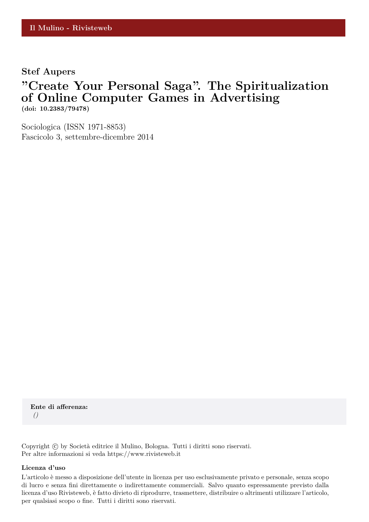# **Stef Aupers**

# **"Create Your Personal Saga". The Spiritualization of Online Computer Games in Advertising (doi: 10.2383/79478)**

Sociologica (ISSN 1971-8853) Fascicolo 3, settembre-dicembre 2014

**Ente di afferenza:** *()*

Copyright © by Società editrice il Mulino, Bologna. Tutti i diritti sono riservati. Per altre informazioni si veda https://www.rivisteweb.it

#### **Licenza d'uso**

L'articolo è messo a disposizione dell'utente in licenza per uso esclusivamente privato e personale, senza scopo di lucro e senza fini direttamente o indirettamente commerciali. Salvo quanto espressamente previsto dalla licenza d'uso Rivisteweb, è fatto divieto di riprodurre, trasmettere, distribuire o altrimenti utilizzare l'articolo, per qualsiasi scopo o fine. Tutti i diritti sono riservati.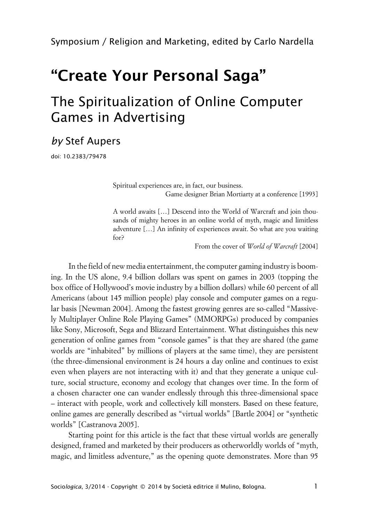# **"Create Your Personal Saga"**

# The Spiritualization of Online Computer Games in Advertising

# *by* Stef Aupers

doi: 10.2383/79478

Spiritual experiences are, in fact, our business. Game designer Brian Mortiarty at a conference [1993]

A world awaits […] Descend into the World of Warcraft and join thousands of mighty heroes in an online world of myth, magic and limitless adventure […] An infinity of experiences await. So what are you waiting for?

From the cover of *World of Warcraft* [2004]

In the field of new media entertainment, the computer gaming industry is booming. In the US alone, 9.4 billion dollars was spent on games in 2003 (topping the box office of Hollywood's movie industry by a billion dollars) while 60 percent of all Americans (about 145 million people) play console and computer games on a regular basis [Newman 2004]. Among the fastest growing genres are so-called "Massively Multiplayer Online Role Playing Games" (MMORPGs) produced by companies like Sony, Microsoft, Sega and Blizzard Entertainment. What distinguishes this new generation of online games from "console games" is that they are shared (the game worlds are "inhabited" by millions of players at the same time), they are persistent (the three-dimensional environment is 24 hours a day online and continues to exist even when players are not interacting with it) and that they generate a unique culture, social structure, economy and ecology that changes over time. In the form of a chosen character one can wander endlessly through this three-dimensional space – interact with people, work and collectively kill monsters. Based on these feature, online games are generally described as "virtual worlds" [Bartle 2004] or "synthetic worlds" [Castranova 2005].

Starting point for this article is the fact that these virtual worlds are generally designed, framed and marketed by their producers as otherworldly worlds of "myth, magic, and limitless adventure," as the opening quote demonstrates. More than 95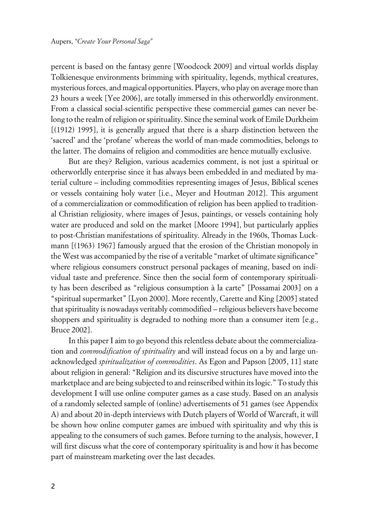percent is based on the fantasy genre [Woodcock 2009] and virtual worlds display Tolkienesque environments brimming with spirituality, legends, mythical creatures, mysterious forces, and magical opportunities. Players, who play on average more than 23 hours a week [Yee 2006], are totally immersed in this otherworldly environment. From a classical social-scientific perspective these commercial games can never belong to the realm of religion or spirituality. Since the seminal work of Emile Durkheim [(1912) 1995], it is generally argued that there is a sharp distinction between the 'sacred' and the 'profane' whereas the world of man-made commodities, belongs to the latter. The domains of religion and commodities are hence mutually exclusive.

But are they? Religion, various academics comment, is not just a spiritual or otherworldly enterprise since it has always been embedded in and mediated by material culture – including commodities representing images of Jesus, Biblical scenes or vessels containing holy water [i.e., Meyer and Houtman 2012]. This argument of a commercialization or commodification of religion has been applied to traditional Christian religiosity, where images of Jesus, paintings, or vessels containing holy water are produced and sold on the market [Moore 1994], but particularly applies to post-Christian manifestations of spirituality. Already in the 1960s, Thomas Luckmann [(1963) 1967] famously argued that the erosion of the Christian monopoly in the West was accompanied by the rise of a veritable "market of ultimate significance" where religious consumers construct personal packages of meaning, based on individual taste and preference. Since then the social form of contemporary spirituality has been described as "religious consumption à la carte" [Possamai 2003] on a "spiritual supermarket" [Lyon 2000]. More recently, Carette and King [2005] stated that spirituality is nowadays veritably commodified – religious believers have become shoppers and spirituality is degraded to nothing more than a consumer item [e.g., Bruce 2002].

In this paper I aim to go beyond this relentless debate about the commercialization and *commodification of spirituality* and will instead focus on a by and large unacknowledged *spiritualization of commodities*. As Egon and Papson [2005, 11] state about religion in general: "Religion and its discursive structures have moved into the marketplace and are being subjected to and reinscribed within its logic." To study this development I will use online computer games as a case study. Based on an analysis of a randomly selected sample of (online) advertisements of 51 games (see Appendix A) and about 20 in-depth interviews with Dutch players of World of Warcraft, it will be shown how online computer games are imbued with spirituality and why this is appealing to the consumers of such games. Before turning to the analysis, however, I will first discuss what the core of contemporary spirituality is and how it has become part of mainstream marketing over the last decades.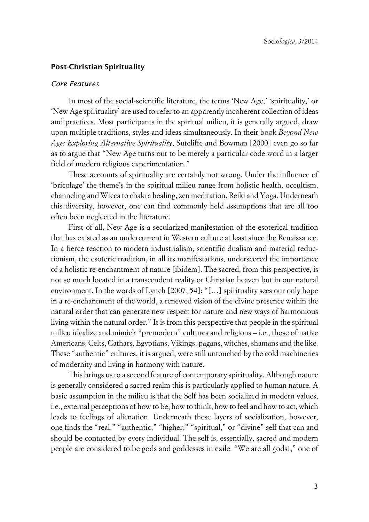## **xPost-Christian Spirituality**

#### x*Core Features*

In most of the social-scientific literature, the terms 'New Age,' 'spirituality,' or 'New Age spirituality' are used to refer to an apparently incoherent collection of ideas and practices. Most participants in the spiritual milieu, it is generally argued, draw upon multiple traditions, styles and ideas simultaneously. In their book *Beyond New Age: Exploring Alternative Spirituality*, Sutcliffe and Bowman [2000] even go so far as to argue that "New Age turns out to be merely a particular code word in a larger field of modern religious experimentation."

These accounts of spirituality are certainly not wrong. Under the influence of 'bricolage' the theme's in the spiritual milieu range from holistic health, occultism, channeling and Wicca to chakra healing, zen meditation, Reiki and Yoga. Underneath this diversity, however, one can find commonly held assumptions that are all too often been neglected in the literature.

First of all, New Age is a secularized manifestation of the esoterical tradition that has existed as an undercurrent in Western culture at least since the Renaissance. In a fierce reaction to modern industrialism, scientific dualism and material reductionism, the esoteric tradition, in all its manifestations, underscored the importance of a holistic re-enchantment of nature [ibidem]. The sacred, from this perspective, is not so much located in a transcendent reality or Christian heaven but in our natural environment. In the words of Lynch [2007, 54]: "[…] spirituality sees our only hope in a re-enchantment of the world, a renewed vision of the divine presence within the natural order that can generate new respect for nature and new ways of harmonious living within the natural order." It is from this perspective that people in the spiritual milieu idealize and mimick "premodern" cultures and religions – i.e., those of native Americans, Celts, Cathars, Egyptians, Vikings, pagans, witches, shamans and the like. These "authentic" cultures, it is argued, were still untouched by the cold machineries of modernity and living in harmony with nature.

This brings us to a second feature of contemporary spirituality. Although nature is generally considered a sacred realm this is particularly applied to human nature. A basic assumption in the milieu is that the Self has been socialized in modern values, i.e., external perceptions of how to be, how to think, how to feel and how to act, which leads to feelings of alienation. Underneath these layers of socialization, however, one finds the "real," "authentic," "higher," "spiritual," or "divine" self that can and should be contacted by every individual. The self is, essentially, sacred and modern people are considered to be gods and goddesses in exile. "We are all gods!," one of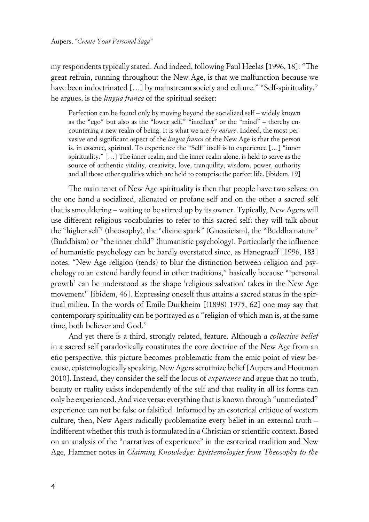my respondents typically stated. And indeed, following Paul Heelas [1996, 18]: "The great refrain, running throughout the New Age, is that we malfunction because we have been indoctrinated [...] by mainstream society and culture." "Self-spirituality," he argues, is the *lingua franca* of the spiritual seeker:

Perfection can be found only by moving beyond the socialized self – widely known as the "ego" but also as the "lower self," "intellect" or the "mind" – thereby encountering a new realm of being. It is what we are *by nature*. Indeed, the most pervasive and significant aspect of the *lingua franca* of the New Age is that the person is, in essence, spiritual. To experience the "Self" itself is to experience […] "inner spirituality." […] The inner realm, and the inner realm alone, is held to serve as the source of authentic vitality, creativity, love, tranquility, wisdom, power, authority and all those other qualities which are held to comprise the perfect life. [ibidem, 19]

The main tenet of New Age spirituality is then that people have two selves: on the one hand a socialized, alienated or profane self and on the other a sacred self that is smouldering – waiting to be stirred up by its owner. Typically, New Agers will use different religious vocabularies to refer to this sacred self: they will talk about the "higher self" (theosophy), the "divine spark" (Gnosticism), the "Buddha nature" (Buddhism) or "the inner child" (humanistic psychology). Particularly the influence of humanistic psychology can be hardly overstated since, as Hanegraaff [1996, 183] notes, "New Age religion (tends) to blur the distinction between religion and psychology to an extend hardly found in other traditions," basically because "'personal growth' can be understood as the shape 'religious salvation' takes in the New Age movement" [ibidem, 46]. Expressing oneself thus attains a sacred status in the spiritual milieu. In the words of Emile Durkheim [(1898) 1975, 62] one may say that contemporary spirituality can be portrayed as a "religion of which man is, at the same time, both believer and God."

And yet there is a third, strongly related, feature. Although a *collective belief* in a sacred self paradoxically constitutes the core doctrine of the New Age from an etic perspective, this picture becomes problematic from the emic point of view because, epistemologically speaking, New Agers scrutinize belief [Aupers and Houtman 2010]. Instead, they consider the self the locus of *experience* and argue that no truth, beauty or reality exists independently of the self and that reality in all its forms can only be experienced. And vice versa: everything that is known through "unmediated" experience can not be false or falsified. Informed by an esoterical critique of western culture, then, New Agers radically problematize every belief in an external truth – indifferent whether this truth is formulated in a Christian or scientific context. Based on an analysis of the "narratives of experience" in the esoterical tradition and New Age, Hammer notes in *Claiming Knowledge: Epistemologies from Theosophy to the*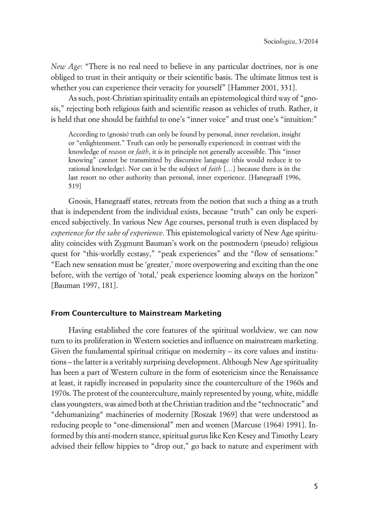*New Age*: "There is no real need to believe in any particular doctrines, nor is one obliged to trust in their antiquity or their scientific basis. The ultimate litmus test is whether you can experience their veracity for yourself" [Hammer 2001, 331].

As such, post-Christian spirituality entails an epistemological third way of "gnosis," rejecting both religious faith and scientific reason as vehicles of truth. Rather, it is held that one should be faithful to one's "inner voice" and trust one's "intuition:"

According to (gnosis) truth can only be found by personal, inner revelation, insight or "enlightenment." Truth can only be personally experienced: in contrast with the knowledge of *reason* or *faith*, it is in principle not generally accessible. This "inner knowing" cannot be transmitted by discursive language (this would reduce it to rational knowledge). Nor can it be the subject of *faith* […] because there is in the last resort no other authority than personal, inner experience. [Hanegraaff 1996, 519]

Gnosis, Hanegraaff states, retreats from the notion that such a thing as a truth that is independent from the individual exists, because "truth" can only be experienced subjectively. In various New Age courses, personal truth is even displaced by *experience for the sake of experience*. This epistemological variety of New Age spirituality coincides with Zygmunt Bauman's work on the postmodern (pseudo) religious quest for "this-worldly ecstasy," "peak experiences" and the "flow of sensations:" "Each new sensation must be 'greater,' more overpowering and exciting than the one before, with the vertigo of 'total,' peak experience looming always on the horizon" [Bauman 1997, 181].

### **xFrom Counterculture to Mainstream Marketing**

Having established the core features of the spiritual worldview, we can now turn to its proliferation in Western societies and influence on mainstream marketing. Given the fundamental spiritual critique on modernity – its core values and institutions – the latter is a veritably surprising development. Although New Age spirituality has been a part of Western culture in the form of esotericism since the Renaissance at least, it rapidly increased in popularity since the counterculture of the 1960s and 1970s. The protest of the counterculture, mainly represented by young, white, middle class youngsters, was aimed both at the Christian tradition and the "technocratic" and "dehumanizing" machineries of modernity [Roszak 1969] that were understood as reducing people to "one-dimensional" men and women [Marcuse (1964) 1991]. Informed by this anti-modern stance, spiritual gurus like Ken Kesey and Timothy Leary advised their fellow hippies to "drop out," go back to nature and experiment with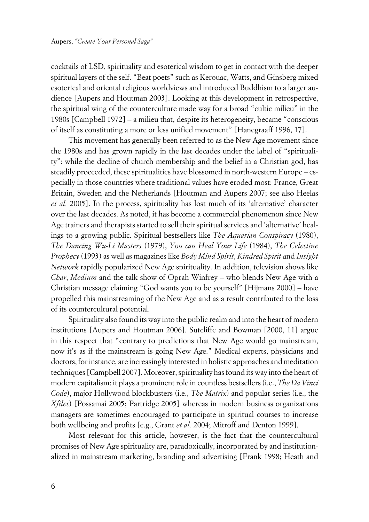cocktails of LSD, spirituality and esoterical wisdom to get in contact with the deeper spiritual layers of the self. "Beat poets" such as Kerouac, Watts, and Ginsberg mixed esoterical and oriental religious worldviews and introduced Buddhism to a larger audience [Aupers and Houtman 2003]. Looking at this development in retrospective, the spiritual wing of the counterculture made way for a broad "cultic milieu" in the 1980s [Campbell 1972] – a milieu that, despite its heterogeneity, became "conscious of itself as constituting a more or less unified movement" [Hanegraaff 1996, 17].

This movement has generally been referred to as the New Age movement since the 1980s and has grown rapidly in the last decades under the label of "spirituality": while the decline of church membership and the belief in a Christian god, has steadily proceeded, these spiritualities have blossomed in north-western Europe – especially in those countries where traditional values have eroded most: France, Great Britain, Sweden and the Netherlands [Houtman and Aupers 2007; see also Heelas *et al.* 2005]. In the process, spirituality has lost much of its 'alternative' character over the last decades. As noted, it has become a commercial phenomenon since New Age trainers and therapists started to sell their spiritual services and 'alternative' healings to a growing public. Spiritual bestsellers like *The Aquarian Conspiracy* (1980), *The Dancing Wu-Li Masters* (1979), *You can Heal Your Life* (1984), *The Celestine Prophecy* (1993) as well as magazines like *Body Mind Spirit*, *Kindred Spirit* and *Insight Network* rapidly popularized New Age spirituality. In addition, television shows like *Char*, *Medium* and the talk show of Oprah Winfrey – who blends New Age with a Christian message claiming "God wants you to be yourself" [Hijmans 2000] – have propelled this mainstreaming of the New Age and as a result contributed to the loss of its countercultural potential.

Spirituality also found its way into the public realm and into the heart of modern institutions [Aupers and Houtman 2006]. Sutcliffe and Bowman [2000, 11] argue in this respect that "contrary to predictions that New Age would go mainstream, now it's as if the mainstream is going New Age." Medical experts, physicians and doctors, for instance, are increasingly interested in holistic approaches and meditation techniques [Campbell 2007]. Moreover, spirituality has found its way into the heart of modern capitalism: it plays a prominent role in countless bestsellers (i.e., *The Da Vinci Code*), major Hollywood blockbusters (i.e., *The Matrix*) and popular series (i.e., the *Xfiles*) [Possamai 2005; Partridge 2005] whereas in modern business organizations managers are sometimes encouraged to participate in spiritual courses to increase both wellbeing and profits [e.g., Grant *et al.* 2004; Mitroff and Denton 1999].

Most relevant for this article, however, is the fact that the countercultural promises of New Age spirituality are, paradoxically, incorporated by and institutionalized in mainstream marketing, branding and advertising [Frank 1998; Heath and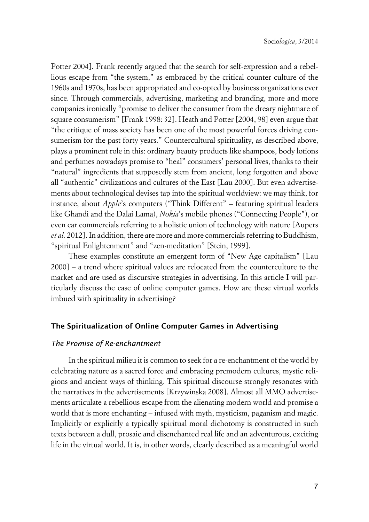Potter 2004]. Frank recently argued that the search for self-expression and a rebellious escape from "the system," as embraced by the critical counter culture of the 1960s and 1970s, has been appropriated and co-opted by business organizations ever since. Through commercials, advertising, marketing and branding, more and more companies ironically "promise to deliver the consumer from the dreary nightmare of square consumerism" [Frank 1998: 32]. Heath and Potter [2004, 98] even argue that "the critique of mass society has been one of the most powerful forces driving consumerism for the past forty years." Countercultural spirituality, as described above, plays a prominent role in this: ordinary beauty products like shampoos, body lotions and perfumes nowadays promise to "heal" consumers' personal lives, thanks to their "natural" ingredients that supposedly stem from ancient, long forgotten and above all "authentic" civilizations and cultures of the East [Lau 2000]. But even advertisements about technological devises tap into the spiritual worldview: we may think, for instance, about *Apple*'s computers ("Think Different" – featuring spiritual leaders like Ghandi and the Dalai Lama), *Nokia*'s mobile phones ("Connecting People"), or even car commercials referring to a holistic union of technology with nature [Aupers *et al.* 2012]. In addition, there are more and more commercials referring to Buddhism, "spiritual Enlightenment" and "zen-meditation" [Stein, 1999].

These examples constitute an emergent form of "New Age capitalism" [Lau 2000] – a trend where spiritual values are relocated from the counterculture to the market and are used as discursive strategies in advertising. In this article I will particularly discuss the case of online computer games. How are these virtual worlds imbued with spirituality in advertising?

# **xThe Spiritualization of Online Computer Games in Advertising**

## x*The Promise of Re-enchantment*

In the spiritual milieu it is common to seek for a re-enchantment of the world by celebrating nature as a sacred force and embracing premodern cultures, mystic religions and ancient ways of thinking. This spiritual discourse strongly resonates with the narratives in the advertisements [Krzywinska 2008]. Almost all MMO advertisements articulate a rebellious escape from the alienating modern world and promise a world that is more enchanting – infused with myth, mysticism, paganism and magic. Implicitly or explicitly a typically spiritual moral dichotomy is constructed in such texts between a dull, prosaic and disenchanted real life and an adventurous, exciting life in the virtual world. It is, in other words, clearly described as a meaningful world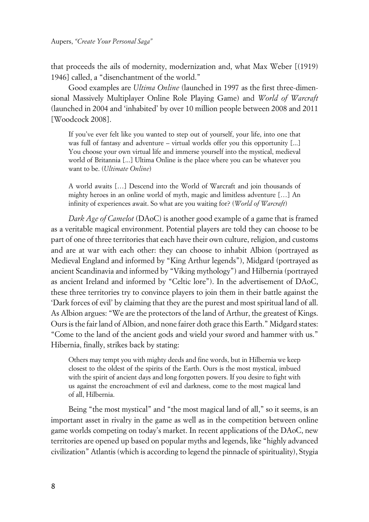that proceeds the ails of modernity, modernization and, what Max Weber [(1919) 1946] called, a "disenchantment of the world."

Good examples are *Ultima Online* (launched in 1997 as the first three-dimensional Massively Multiplayer Online Role Playing Game) and *World of Warcraft* (launched in 2004 and 'inhabited' by over 10 million people between 2008 and 2011 [Woodcock 2008].

If you've ever felt like you wanted to step out of yourself, your life, into one that was full of fantasy and adventure – virtual worlds offer you this opportunity [...] You choose your own virtual life and immerse yourself into the mystical, medieval world of Britannia [...] Ultima Online is the place where you can be whatever you want to be. (*Ultimate Online*)

A world awaits […] Descend into the World of Warcraft and join thousands of mighty heroes in an online world of myth, magic and limitless adventure […] An infinity of experiences await. So what are you waiting for? (*World of Warcraft*)

*Dark Age of Camelot* (DAoC) is another good example of a game that is framed as a veritable magical environment. Potential players are told they can choose to be part of one of three territories that each have their own culture, religion, and customs and are at war with each other: they can choose to inhabit Albion (portrayed as Medieval England and informed by "King Arthur legends"), Midgard (portrayed as ancient Scandinavia and informed by "Viking mythology") and Hilbernia (portrayed as ancient Ireland and informed by "Celtic lore"). In the advertisement of DAoC, these three territories try to convince players to join them in their battle against the 'Dark forces of evil' by claiming that they are the purest and most spiritual land of all. As Albion argues: "We are the protectors of the land of Arthur, the greatest of Kings. Ours is the fair land of Albion, and none fairer doth grace this Earth." Midgard states: "Come to the land of the ancient gods and wield your sword and hammer with us." Hibernia, finally, strikes back by stating:

Others may tempt you with mighty deeds and fine words, but in Hilbernia we keep closest to the oldest of the spirits of the Earth. Ours is the most mystical, imbued with the spirit of ancient days and long forgotten powers. If you desire to fight with us against the encroachment of evil and darkness, come to the most magical land of all, Hilbernia.

Being "the most mystical" and "the most magical land of all," so it seems, is an important asset in rivalry in the game as well as in the competition between online game worlds competing on today's market. In recent applications of the DAoC, new territories are opened up based on popular myths and legends, like "highly advanced civilization" Atlantis (which is according to legend the pinnacle of spirituality), Stygia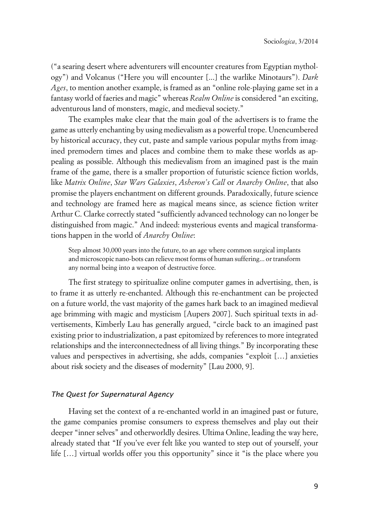("a searing desert where adventurers will encounter creatures from Egyptian mythology") and Volcanus ("Here you will encounter [...] the warlike Minotaurs"). *Dark Ages*, to mention another example, is framed as an "online role-playing game set in a fantasy world of faeries and magic" whereas *Realm Online* is considered "an exciting, adventurous land of monsters, magic, and medieval society."

The examples make clear that the main goal of the advertisers is to frame the game as utterly enchanting by using medievalism as a powerful trope. Unencumbered by historical accuracy, they cut, paste and sample various popular myths from imagined premodern times and places and combine them to make these worlds as appealing as possible. Although this medievalism from an imagined past is the main frame of the game, there is a smaller proportion of futuristic science fiction worlds, like *Matrix Online*, *Star Wars Galaxies*, *Asheron's Call* or *Anarchy Online*, that also promise the players enchantment on different grounds. Paradoxically, future science and technology are framed here as magical means since, as science fiction writer Arthur C. Clarke correctly stated "sufficiently advanced technology can no longer be distinguished from magic." And indeed: mysterious events and magical transformations happen in the world of *Anarchy Online*:

Step almost 30,000 years into the future, to an age where common surgical implants and microscopic nano-bots can relieve most forms of human suffering... or transform any normal being into a weapon of destructive force.

The first strategy to spiritualize online computer games in advertising, then, is to frame it as utterly re-enchanted. Although this re-enchantment can be projected on a future world, the vast majority of the games hark back to an imagined medieval age brimming with magic and mysticism [Aupers 2007]. Such spiritual texts in advertisements, Kimberly Lau has generally argued, "circle back to an imagined past existing prior to industrialization, a past epitomized by references to more integrated relationships and the interconnectedness of all living things." By incorporating these values and perspectives in advertising, she adds, companies "exploit […] anxieties about risk society and the diseases of modernity" [Lau 2000, 9].

# x*The Quest for Supernatural Agency*

Having set the context of a re-enchanted world in an imagined past or future, the game companies promise consumers to express themselves and play out their deeper "inner selves" and otherworldly desires. Ultima Online, leading the way here, already stated that "If you've ever felt like you wanted to step out of yourself, your life […] virtual worlds offer you this opportunity" since it "is the place where you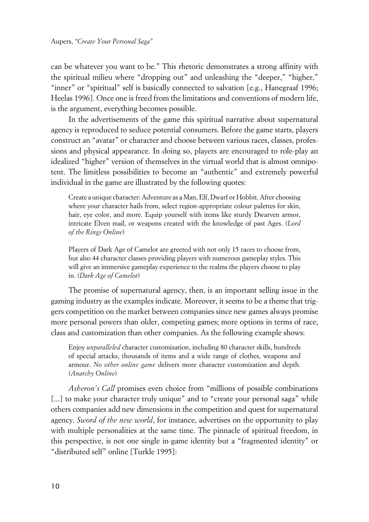can be whatever you want to be." This rhetoric demonstrates a strong affinity with the spiritual milieu where "dropping out" and unleashing the "deeper," "higher," "inner" or "spiritual" self is basically connected to salvation [e.g., Hanegraaf 1996; Heelas 1996]. Once one is freed from the limitations and conventions of modern life, is the argument, everything becomes possible.

In the advertisements of the game this spiritual narrative about supernatural agency is reproduced to seduce potential consumers. Before the game starts, players construct an "avatar" or character and choose between various races, classes, professions and physical appearance. In doing so, players are encouraged to role-play an idealized "higher" version of themselves in the virtual world that is almost omnipotent. The limitless possibilities to become an "authentic" and extremely powerful individual in the game are illustrated by the following quotes:

Create a unique character: Adventure as a Man, Elf, Dwarf or Hobbit. After choosing where your character hails from, select region-appropriate colour palettes for skin, hair, eye color, and more. Equip yourself with items like sturdy Dwarven armor, intricate Elven mail, or weapons created with the knowledge of past Ages. (*Lord of the Rings Online*)

Players of Dark Age of Camelot are greeted with not only 15 races to choose from, but also 44 character classes providing players with numerous gameplay styles. This will give an immersive gameplay experience to the realms the players choose to play in. (*Dark Age of Camelot*)

The promise of supernatural agency, then, is an important selling issue in the gaming industry as the examples indicate. Moreover, it seems to be a theme that triggers competition on the market between companies since new games always promise more personal powers than older, competing games; more options in terms of race, class and customization than other companies. As the following example shows:

Enjoy *unparalleled* character customization, including 80 character skills, hundreds of special attacks, thousands of items and a wide range of clothes, weapons and armour. *No other online game* delivers more character customization and depth. (*Anarchy Online*)

*Asheron's Call* promises even choice from "millions of possible combinations [...] to make your character truly unique" and to "create your personal saga" while others companies add new dimensions in the competition and quest for supernatural agency. *Sword of the new world*, for instance, advertises on the opportunity to play with multiple personalities at the same time. The pinnacle of spiritual freedom, in this perspective, is not one single in-game identity but a "fragmented identity" or "distributed self" online [Turkle 1995]: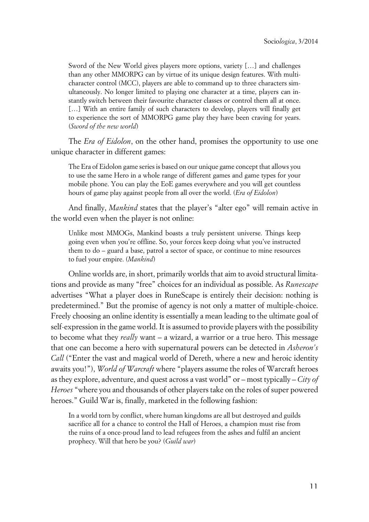Sword of the New World gives players more options, variety […] and challenges than any other MMORPG can by virtue of its unique design features. With multicharacter control (MCC), players are able to command up to three characters simultaneously. No longer limited to playing one character at a time, players can instantly switch between their favourite character classes or control them all at once. [...] With an entire family of such characters to develop, players will finally get to experience the sort of MMORPG game play they have been craving for years. (*Sword of the new world*)

The *Era of Eidolon*, on the other hand, promises the opportunity to use one unique character in different games:

The Era of Eidolon game series is based on our unique game concept that allows you to use the same Hero in a whole range of different games and game types for your mobile phone. You can play the EoE games everywhere and you will get countless hours of game play against people from all over the world. (*Era of Eidolon*)

And finally, *Mankind* states that the player's "alter ego" will remain active in the world even when the player is not online:

Unlike most MMOGs, Mankind boasts a truly persistent universe. Things keep going even when you're offline. So, your forces keep doing what you've instructed them to do – guard a base, patrol a sector of space, or continue to mine resources to fuel your empire. (*Mankind*)

Online worlds are, in short, primarily worlds that aim to avoid structural limitations and provide as many "free" choices for an individual as possible. As *Runescape* advertises "What a player does in RuneScape is entirely their decision: nothing is predetermined." But the promise of agency is not only a matter of multiple-choice. Freely choosing an online identity is essentially a mean leading to the ultimate goal of self-expression in the game world. It is assumed to provide players with the possibility to become what they *really* want – a wizard, a warrior or a true hero. This message that one can become a hero with supernatural powers can be detected in *Asheron's Call* ("Enter the vast and magical world of Dereth, where a new and heroic identity awaits you!"), *World of Warcraft* where "players assume the roles of Warcraft heroes as they explore, adventure, and quest across a vast world" or – most typically – *City of Heroes* "where you and thousands of other players take on the roles of super powered heroes." Guild War is, finally, marketed in the following fashion:

In a world torn by conflict, where human kingdoms are all but destroyed and guilds sacrifice all for a chance to control the Hall of Heroes, a champion must rise from the ruins of a once-proud land to lead refugees from the ashes and fulfil an ancient prophecy. Will that hero be you? (*Guild war*)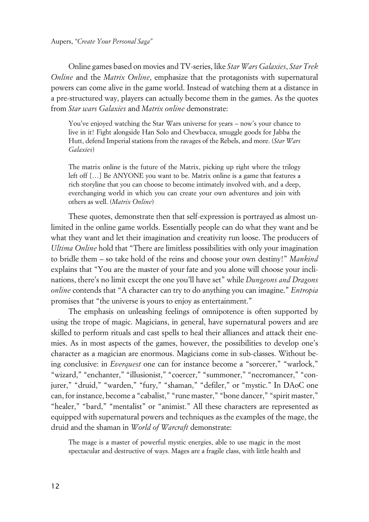Online games based on movies and TV-series, like *Star Wars Galaxies*, *Star Trek Online* and the *Matrix Online*, emphasize that the protagonists with supernatural powers can come alive in the game world. Instead of watching them at a distance in a pre-structured way, players can actually become them in the games. As the quotes from *Star wars Galaxies* and *Matrix online* demonstrate:

You've enjoyed watching the Star Wars universe for years – now's your chance to live in it! Fight alongside Han Solo and Chewbacca, smuggle goods for Jabba the Hutt, defend Imperial stations from the ravages of the Rebels, and more. (*Star Wars Galaxies*)

The matrix online is the future of the Matrix, picking up right where the trilogy left off […] Be ANYONE you want to be. Matrix online is a game that features a rich storyline that you can choose to become intimately involved with, and a deep, everchanging world in which you can create your own adventures and join with others as well. (*Matrix Online*)

These quotes, demonstrate then that self-expression is portrayed as almost unlimited in the online game worlds. Essentially people can do what they want and be what they want and let their imagination and creativity run loose. The producers of *Ultima Online* hold that "There are limitless possibilities with only your imagination to bridle them – so take hold of the reins and choose your own destiny!" *Mankind* explains that "You are the master of your fate and you alone will choose your inclinations, there's no limit except the one you'll have set" while *Dungeons and Dragons online* contends that "A character can try to do anything you can imagine." *Entropia* promises that "the universe is yours to enjoy as entertainment."

The emphasis on unleashing feelings of omnipotence is often supported by using the trope of magic. Magicians, in general, have supernatural powers and are skilled to perform rituals and cast spells to heal their alliances and attack their enemies. As in most aspects of the games, however, the possibilities to develop one's character as a magician are enormous. Magicians come in sub-classes. Without being conclusive: in *Everquest* one can for instance become a "sorcerer," "warlock," "wizard," "enchanter," "illusionist," "coercer," "summoner," "necromancer," "conjurer," "druid," "warden," "fury," "shaman," "defiler," or "mystic." In DAoC one can, for instance, become a "cabalist," "rune master," "bone dancer," "spirit master," "healer," "bard," "mentalist" or "animist." All these characters are represented as equipped with supernatural powers and techniques as the examples of the mage, the druid and the shaman in *World of Warcraft* demonstrate:

The mage is a master of powerful mystic energies, able to use magic in the most spectacular and destructive of ways. Mages are a fragile class, with little health and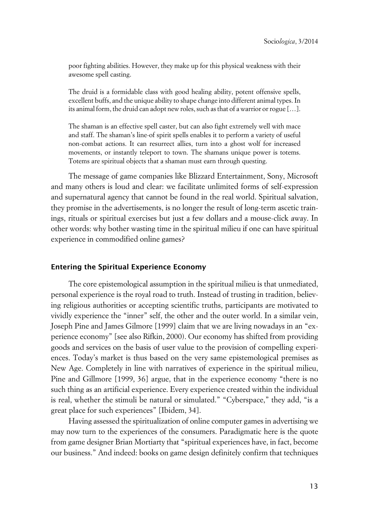poor fighting abilities. However, they make up for this physical weakness with their awesome spell casting.

The druid is a formidable class with good healing ability, potent offensive spells, excellent buffs, and the unique ability to shape change into different animal types. In its animal form, the druid can adopt new roles, such as that of a warrior or rogue […].

The shaman is an effective spell caster, but can also fight extremely well with mace and staff. The shaman's line-of spirit spells enables it to perform a variety of useful non-combat actions. It can resurrect allies, turn into a ghost wolf for increased movements, or instantly teleport to town. The shamans unique power is totems. Totems are spiritual objects that a shaman must earn through questing.

The message of game companies like Blizzard Entertainment, Sony, Microsoft and many others is loud and clear: we facilitate unlimited forms of self-expression and supernatural agency that cannot be found in the real world. Spiritual salvation, they promise in the advertisements, is no longer the result of long-term ascetic trainings, rituals or spiritual exercises but just a few dollars and a mouse-click away. In other words: why bother wasting time in the spiritual milieu if one can have spiritual experience in commodified online games?

### **xEntering the Spiritual Experience Economy**

The core epistemological assumption in the spiritual milieu is that unmediated, personal experience is the royal road to truth. Instead of trusting in tradition, believing religious authorities or accepting scientific truths, participants are motivated to vividly experience the "inner" self, the other and the outer world. In a similar vein, Joseph Pine and James Gilmore [1999] claim that we are living nowadays in an "experience economy" [see also Rifkin, 2000). Our economy has shifted from providing goods and services on the basis of user value to the provision of compelling experiences. Today's market is thus based on the very same epistemological premises as New Age. Completely in line with narratives of experience in the spiritual milieu, Pine and Gillmore [1999, 36] argue, that in the experience economy "there is no such thing as an artificial experience. Every experience created within the individual is real, whether the stimuli be natural or simulated." "Cyberspace," they add, "is a great place for such experiences" [Ibidem, 34].

Having assessed the spiritualization of online computer games in advertising we may now turn to the experiences of the consumers. Paradigmatic here is the quote from game designer Brian Mortiarty that "spiritual experiences have, in fact, become our business." And indeed: books on game design definitely confirm that techniques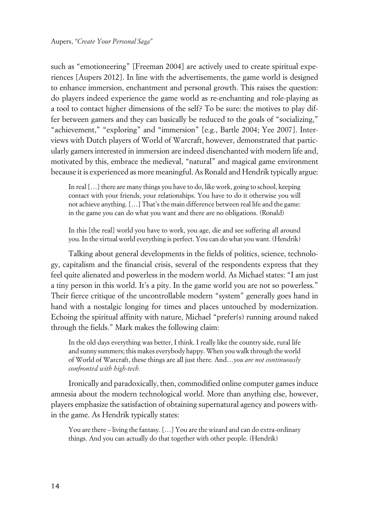such as "emotioneering" [Freeman 2004] are actively used to create spiritual experiences [Aupers 2012]. In line with the advertisements, the game world is designed to enhance immersion, enchantment and personal growth. This raises the question: do players indeed experience the game world as re-enchanting and role-playing as a tool to contact higher dimensions of the self? To be sure: the motives to play differ between gamers and they can basically be reduced to the goals of "socializing," "achievement," "exploring" and "immersion" [e.g., Bartle 2004; Yee 2007]. Interviews with Dutch players of World of Warcraft, however, demonstrated that particularly gamers interested in immersion are indeed disenchanted with modern life and, motivated by this, embrace the medieval, "natural" and magical game environment because it is experienced as more meaningful. As Ronald and Hendrik typically argue:

In real […] there are many things you have to do, like work, going to school, keeping contact with your friends, your relationships. You have to do it otherwise you will not achieve anything. […] That's the main difference between real life and the game: in the game you can do what you want and there are no obligations. (Ronald)

In this [the real] world you have to work, you age, die and see suffering all around you. In the virtual world everything is perfect. You can do what you want. (Hendrik)

Talking about general developments in the fields of politics, science, technology, capitalism and the financial crisis, several of the respondents express that they feel quite alienated and powerless in the modern world. As Michael states: "I am just a tiny person in this world. It's a pity. In the game world you are not so powerless." Their fierce critique of the uncontrollable modern "system" generally goes hand in hand with a nostalgic longing for times and places untouched by modernization. Echoing the spiritual affinity with nature, Michael "prefer(s) running around naked through the fields." Mark makes the following claim:

In the old days everything was better, I think. I really like the country side, rural life and sunny summers; this makes everybody happy. When you walk through the world of World of Warcraft, these things are all just there. And…*you are not continuously confronted with high-tech.*

Ironically and paradoxically, then, commodified online computer games induce amnesia about the modern technological world. More than anything else, however, players emphasize the satisfaction of obtaining supernatural agency and powers within the game. As Hendrik typically states:

You are there – living the fantasy. […] You are the wizard and can do extra-ordinary things. And you can actually do that together with other people. (Hendrik)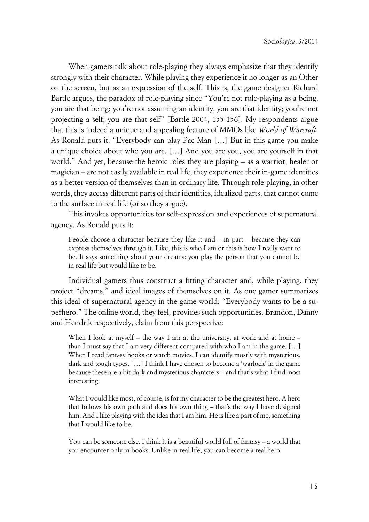When gamers talk about role-playing they always emphasize that they identify strongly with their character. While playing they experience it no longer as an Other on the screen, but as an expression of the self. This is, the game designer Richard Bartle argues, the paradox of role-playing since "You're not role-playing as a being, you are that being; you're not assuming an identity, you are that identity; you're not projecting a self; you are that self" [Bartle 2004, 155-156]. My respondents argue that this is indeed a unique and appealing feature of MMOs like *World of Warcraft*. As Ronald puts it: "Everybody can play Pac-Man […] But in this game you make a unique choice about who you are. […] And you are you, you are yourself in that world." And yet, because the heroic roles they are playing – as a warrior, healer or magician – are not easily available in real life, they experience their in-game identities as a better version of themselves than in ordinary life. Through role-playing, in other words, they access different parts of their identities, idealized parts, that cannot come to the surface in real life (or so they argue).

This invokes opportunities for self-expression and experiences of supernatural agency. As Ronald puts it:

People choose a character because they like it and – in part – because they can express themselves through it. Like, this is who I am or this is how I really want to be. It says something about your dreams: you play the person that you cannot be in real life but would like to be.

Individual gamers thus construct a fitting character and, while playing, they project "dreams," and ideal images of themselves on it. As one gamer summarizes this ideal of supernatural agency in the game world: "Everybody wants to be a superhero." The online world, they feel, provides such opportunities. Brandon, Danny and Hendrik respectively, claim from this perspective:

When I look at myself – the way I am at the university, at work and at home – than I must say that I am very different compared with who I am in the game. […] When I read fantasy books or watch movies, I can identify mostly with mysterious, dark and tough types. […] I think I have chosen to become a 'warlock' in the game because these are a bit dark and mysterious characters – and that's what I find most interesting.

What I would like most, of course, is for my character to be the greatest hero. A hero that follows his own path and does his own thing – that's the way I have designed him. And I like playing with the idea that I am him. He is like a part of me, something that I would like to be.

You can be someone else. I think it is a beautiful world full of fantasy – a world that you encounter only in books. Unlike in real life, you can become a real hero.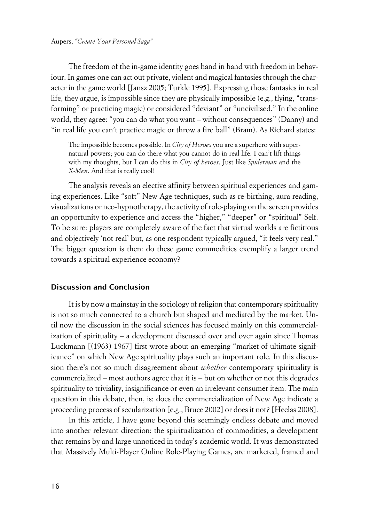The freedom of the in-game identity goes hand in hand with freedom in behaviour. In games one can act out private, violent and magical fantasies through the character in the game world [Jansz 2005; Turkle 1995]. Expressing those fantasies in real life, they argue, is impossible since they are physically impossible (e.g., flying, "transforming" or practicing magic) or considered "deviant" or "uncivilised." In the online world, they agree: "you can do what you want – without consequences" (Danny) and "in real life you can't practice magic or throw a fire ball" (Bram). As Richard states:

The impossible becomes possible. In *City of Heroes* you are a superhero with supernatural powers; you can do there what you cannot do in real life. I can't lift things with my thoughts, but I can do this in *City of heroes*. Just like *Spiderman* and the *X-Men*. And that is really cool!

The analysis reveals an elective affinity between spiritual experiences and gaming experiences. Like "soft" New Age techniques, such as re-birthing, aura reading, visualizations or neo-hypnotherapy, the activity of role-playing on the screen provides an opportunity to experience and access the "higher," "deeper" or "spiritual" Self. To be sure: players are completely aware of the fact that virtual worlds are fictitious and objectively 'not real' but, as one respondent typically argued, "it feels very real." The bigger question is then: do these game commodities exemplify a larger trend towards a spiritual experience economy?

### **xDiscussion and Conclusion**

It is by now a mainstay in the sociology of religion that contemporary spirituality is not so much connected to a church but shaped and mediated by the market. Until now the discussion in the social sciences has focused mainly on this commercialization of spirituality – a development discussed over and over again since Thomas Luckmann [(1963) 1967] first wrote about an emerging "market of ultimate significance" on which New Age spirituality plays such an important role. In this discussion there's not so much disagreement about *whether* contemporary spirituality is commercialized – most authors agree that it is – but on whether or not this degrades spirituality to triviality, insignificance or even an irrelevant consumer item. The main question in this debate, then, is: does the commercialization of New Age indicate a proceeding process of secularization [e.g., Bruce 2002] or does it not? [Heelas 2008].

In this article, I have gone beyond this seemingly endless debate and moved into another relevant direction: the spiritualization of commodities, a development that remains by and large unnoticed in today's academic world. It was demonstrated that Massively Multi-Player Online Role-Playing Games, are marketed, framed and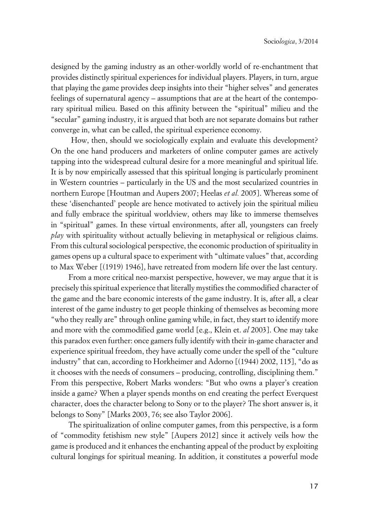designed by the gaming industry as an other-worldly world of re-enchantment that provides distinctly spiritual experiences for individual players. Players, in turn, argue that playing the game provides deep insights into their "higher selves" and generates feelings of supernatural agency – assumptions that are at the heart of the contemporary spiritual milieu. Based on this affinity between the "spiritual" milieu and the "secular" gaming industry, it is argued that both are not separate domains but rather converge in, what can be called, the spiritual experience economy.

 How, then, should we sociologically explain and evaluate this development? On the one hand producers and marketers of online computer games are actively tapping into the widespread cultural desire for a more meaningful and spiritual life. It is by now empirically assessed that this spiritual longing is particularly prominent in Western countries – particularly in the US and the most secularized countries in northern Europe [Houtman and Aupers 2007; Heelas *et al.* 2005]. Whereas some of these 'disenchanted' people are hence motivated to actively join the spiritual milieu and fully embrace the spiritual worldview, others may like to immerse themselves in "spiritual" games. In these virtual environments, after all, youngsters can freely *play* with spirituality without actually believing in metaphysical or religious claims. From this cultural sociological perspective, the economic production of spirituality in games opens up a cultural space to experiment with "ultimate values" that, according to Max Weber [(1919) 1946], have retreated from modern life over the last century.

From a more critical neo-marxist perspective, however, we may argue that it is precisely this spiritual experience that literally mystifies the commodified character of the game and the bare economic interests of the game industry. It is, after all, a clear interest of the game industry to get people thinking of themselves as becoming more "who they really are" through online gaming while, in fact, they start to identify more and more with the commodified game world [e.g., Klein et. *al* 2003]. One may take this paradox even further: once gamers fully identify with their in-game character and experience spiritual freedom, they have actually come under the spell of the "culture industry" that can, according to Horkheimer and Adorno [(1944) 2002, 115], "do as it chooses with the needs of consumers – producing, controlling, disciplining them." From this perspective, Robert Marks wonders: "But who owns a player's creation inside a game? When a player spends months on end creating the perfect Everquest character, does the character belong to Sony or to the player? The short answer is, it belongs to Sony" [Marks 2003, 76; see also Taylor 2006].

The spiritualization of online computer games, from this perspective, is a form of "commodity fetishism new style" [Aupers 2012] since it actively veils how the game is produced and it enhances the enchanting appeal of the product by exploiting cultural longings for spiritual meaning. In addition, it constitutes a powerful mode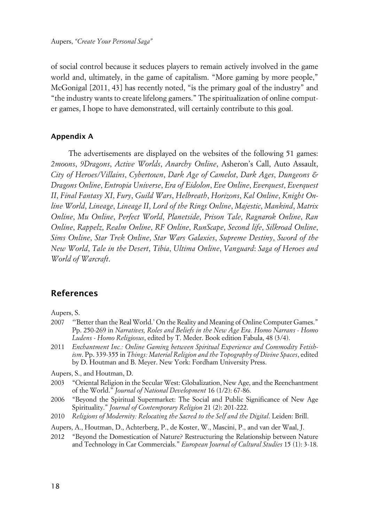of social control because it seduces players to remain actively involved in the game world and, ultimately, in the game of capitalism. "More gaming by more people," McGonigal [2011, 43] has recently noted, "is the primary goal of the industry" and "the industry wants to create lifelong gamers." The spiritualization of online computer games, I hope to have demonstrated, will certainly contribute to this goal.

## **xAppendix A**

The advertisements are displayed on the websites of the following 51 games: *2moons*, *9Dragons*, *Active Worlds*, *Anarchy Online*, Asheron's Call, Auto Assault, *City of Heroes/Villains*, *Cybertown*, *Dark Age of Camelot*, *Dark Ages*, *Dungeons & Dragons Online*, *Entropia Universe*, *Era of Eidolon*, *Eve Online*, *Everquest*, *Everquest II*, *Final Fantasy XI*, *Fury*, *Guild Wars*, *Helbreath*, *Horizons*, *Kal Online*, *Knight Online World*, *Lineage*, *Lineage II*, *Lord of the Rings Online*, *Majestic*, *Mankind*, *Matrix Online*, *Mu Online*, *Perfect World*, *Planetside*, *Prison Tale*, *Ragnarok Online*, *Ran Online*, *Rappelz*, *Realm Online*, *RF Online*, *RunScape*, *Second life*, *Silkroad Online*, *Sims Online*, *Star Trek Online*, *Star Wars Galaxies*, *Supreme Destiny*, *Sword of the New World*, *Tale in the Desert*, *Tibia*, *Ultima Online*, *Vanguard*: *Saga of Heroes and World of Warcraft*.

# **References**

Aupers, S.

- 2007 *"'*Better than the Real World.' On the Reality and Meaning of Online Computer Games." Pp. 250-269 in *Narratives, Roles and Beliefs in the New Age Era. Homo Narrans - Homo Ludens - Homo Religiosus*, edited by T. Meder. Book edition Fabula, 48 (3/4).
- 2011 *Enchantment Inc.: Online Gaming between Spiritual Experience and Commodity Fetishism*. Pp. 339-355 in *Things: Material Religion and the Topography of Divine Spaces*, edited by D. Houtman and B. Meyer. New York: Fordham University Press.

Aupers, S., and Houtman, D.

- 2003 "Oriental Religion in the Secular West: Globalization, New Age, and the Reenchantment of the World." *Journal of National Development* 16 (1/2): 67-86.
- 2006 "Beyond the Spiritual Supermarket: The Social and Public Significance of New Age Spirituality." *Journal of Contemporary Religion* 21 (2): 201-222.
- 2010 *Religions of Modernity: Relocating the Sacred to the Self and the Digital*. Leiden: Brill.
- Aupers, A., Houtman, D., Achterberg, P., de Koster, W., Mascini, P., and van der Waal, J.
- 2012 "Beyond the Domestication of Nature? Restructuring the Relationship between Nature and Technology in Car Commercials." *European Journal of Cultural Studies* 15 (1): 3-18.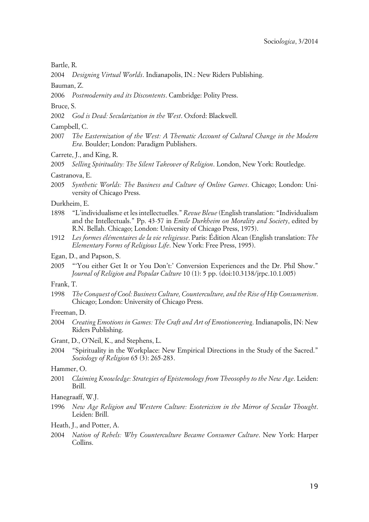Bartle, R.

2004 *Designing Virtual Worlds*. Indianapolis, IN.: New Riders Publishing.

Bauman, Z.

2006 *Postmodernity and its Discontents*. Cambridge: Polity Press.

Bruce, S.

2002 *God is Dead: Secularization in the West*. Oxford: Blackwell.

Campbell, C.

2007 *The Easternization of the West: A Thematic Account of Cultural Change in the Modern Era*. Boulder; London: Paradigm Publishers.

Carrete, J., and King, R.

2005 *Selling Spirituality: The Silent Takeover of Religion*. London, New York: Routledge.

Castranova, E.

2005 *Synthetic Worlds: The Business and Culture of Online Games*. Chicago; London: University of Chicago Press.

Durkheim, E.

- 1898 "L'individualisme et les intellectuelles." *Revue Bleue* (English translation: "Individualism and the Intellectuals." Pp. 43-57 in *Emile Durkheim on Morality and Society*, edited by R.N. Bellah. Chicago; London: University of Chicago Press, 1975).
- 1912 *Les formes élémentaires de la vie religieuse*. Paris: Édition Alcan (English translation: *The Elementary Forms of Religious Life*. New York: Free Press, 1995).
- Egan, D., and Papson, S.
- 2005 "'You either Get It or You Don't:' Conversion Experiences and the Dr. Phil Show." *Journal of Religion and Popular Culture* 10 (1): 5 pp. (doi:10.3138/jrpc.10.1.005)

Frank, T.

- 1998 *The Conquest of Cool: Business Culture, Counterculture, and the Rise of Hip Consumerism*. Chicago; London: University of Chicago Press.
- Freeman, D.
- 2004 *Creating Emotions in Games: The Craft and Art of Emotioneering*. Indianapolis, IN: New Riders Publishing.
- Grant, D., O'Neil, K., and Stephens, L.
- 2004 "Spirituality in the Workplace: New Empirical Directions in the Study of the Sacred." *Sociology of Religion* 65 (3): 265-283.

Hammer, O.

2001 *Claiming Knowledge: Strategies of Epistemology from Theosophy to the New Age*. Leiden: Brill.

Hanegraaff, W.J.

1996 *New Age Religion and Western Culture: Esotericism in the Mirror of Secular Thought*. Leiden: Brill.

Heath, J., and Potter, A.

2004 *Nation of Rebels: Why Counterculture Became Consumer Culture*. New York: Harper Collins.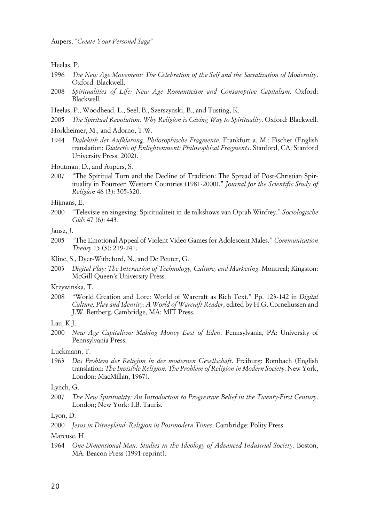Heelas, P.

- 1996 *The New Age Movement: The Celebration of the Self and the Sacralization of Modernity*. Oxford: Blackwell.
- 2008 *Spiritualities of Life: New Age Romanticism and Consumptive Capitalism*. Oxford: Blackwell.
- Heelas, P., Woodhead, L., Seel, B., Szerszynski, B., and Tusting, K.
- 2005 *The Spiritual Revolution: Why Religion is Giving Way to Spirituality*. Oxford: Blackwell.
- Horkheimer, M., and Adorno, T.W.
- 1944 *Dialektik der Aufklarung: Philosophische Fragmente*. Frankfurt a. M.: Fischer (English translation: *Dialectic of Enlightenment: Philosophical Fragments*. Stanford, CA: Stanford University Press, 2002).

Houtman, D., and Aupers, S.

2007 "The Spiritual Turn and the Decline of Tradition: The Spread of Post-Christian Spirituality in Fourteen Western Countries (1981-2000)." *Journal for the Scientific Study of Religion* 46 (3): 305-320.

Hijmans, E.

2000 "Televisie en zingeving: Spiritualiteit in de talkshows van Oprah Winfrey." *Sociologische Gids* 47 (6): 443.

Jansz, J.

- 2005 "The Emotional Appeal of Violent Video Games for Adolescent Males." *Communication Theory* 15 (3): 219-241.
- Kline, S., Dyer-Witheford, N., and De Peuter, G.
- 2003 *Digital Play: The Interaction of Technology, Culture, and Marketing*. Montreal; Kingston: McGill-Queen's University Press.

Krzywinska, T.

2008 "World Creation and Lore: World of Warcraft as Rich Text." Pp. 123-142 in *Digital Culture, Play and Identity: A World of Warcraft Reader*, edited by H.G. Corneliussen and J.W. Rettberg. Cambridge, MA: MIT Press.

Lau, K.J.

2000 *New Age Capitalism: Making Money East of Eden*. Pennsylvania, PA: University of Pennsylvania Press.

Luckmann, T.

1963 *Das Problem der Religion in der modernen Gesellschaft*. Freiburg: Rombach (English translation: *The Invisible Religion. The Problem of Religion in Modern Society*. New York, London: MacMillan, 1967).

Lynch, G.

2007 *The New Spirituality: An Introduction to Progressive Belief in the Twenty-First Century*. London; New York: I.B. Tauris.

Lyon, D.

2000 *Jesus in Disneyland: Religion in Postmodern Times*. Cambridge: Polity Press.

Marcuse, H.

1964 *One-Dimensional Man: Studies in the Ideology of Advanced Industrial Society*. Boston, MA: Beacon Press (1991 reprint).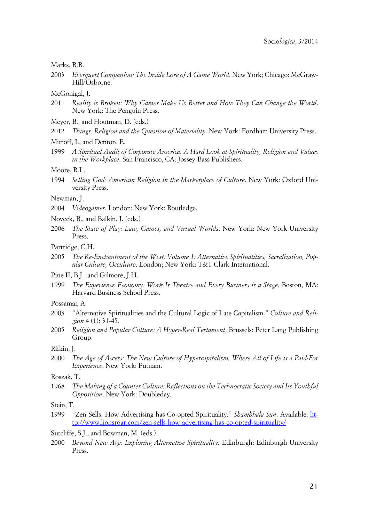#### Marks, R.B.

2003 *Everquest Companion: The Inside Lore of A Game World*. New York; Chicago: McGraw-Hill/Osborne.

#### McGonigal, J.

- 2011 *Reality is Broken: Why Games Make Us Better and How They Can Change the World*. New York: The Penguin Press.
- Meyer, B., and Houtman, D. (eds.)
- 2012 *Things: Religion and the Question of Materiality*. New York: Fordham University Press.

Mitroff, I., and Denton, E.

1999 *A Spiritual Audit of Corporate America. A Hard Look at Spirituality, Religion and Values in the Workplace*. San Francisco, CA: Jossey-Bass Publishers.

#### Moore, R.L.

1994 *Selling God: American Religion in the Marketplace of Culture*. New York: Oxford University Press.

#### Newman, J.

- 2004 *Videogames*. London; New York: Routledge.
- Noveck, B., and Balkin, J. (eds.)
- 2006 *The State of Play: Law, Games, and Virtual Worlds*. New York: New York University Press.

#### Partridge, C.H.

- 2005 *The Re-Enchantment of the West: Volume 1: Alternative Spiritualities, Sacralization, Popular Culture, Occulture*. London; New York: T&T Clark International.
- Pine II, B.J., and Gilmore, J.H.
- 1999 *The Experience Economy: Work Is Theatre and Every Business is a Stage*. Boston, MA: Harvard Business School Press.

## Possamai, A.

- 2003 "Alternative Spiritualities and the Cultural Logic of Late Capitalism." *Culture and Religion* 4 (1): 31-45.
- 2005 *Religion and Popular Culture: A Hyper-Real Testament*. Brussels: Peter Lang Publishing Group.

### Rifkin, J.

2000 *The Age of Access: The New Culture of Hypercapitalism, Where All of Life is a Paid-For Experience*. New York: Putnam.

#### Roszak, T.

1968 *The Making of a Counter Culture: Reflections on the Technocratic Society and Its Youthful Opposition*. New York: Doubleday.

#### Stein, T.

- 1999 "Zen Sells: How Advertising has Co-opted Spirituality." *Shambhala Sun*. Available: [ht](http://www.lionsroar.com/zen-sells-how-advertising-has-co-opted-spirituality/)[tp://www.lionsroar.com/zen-sells-how-advertising-has-co-opted-spirituality/](http://www.lionsroar.com/zen-sells-how-advertising-has-co-opted-spirituality/)
- Sutcliffe, S.J., and Bowman, M. (eds.)
- 2000 *Beyond New Age: Exploring Alternative Spirituality*. Edinburgh: Edinburgh University Press.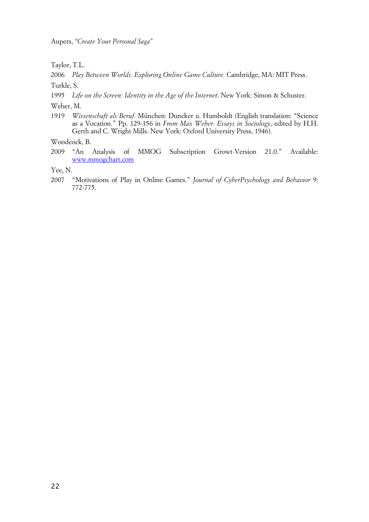Aupers, *"Create Your Personal Saga"*

Taylor, T.L.

2006 *Play Between Worlds: Exploring Online Game Culture*. Cambridge, MA: MIT Press. Turkle, S.

1995 *Life on the Screen: Identity in the Age of the Internet*. New York: Simon & Schuster.

Weber, M.

1919 *Wissenschaft als Beruf*. München: Duncker u. Humboldt (English translation: "Science as a Vocation." Pp. 129-156 in *From Max Weber. Essays in Sociology*, edited by H.H. Gerth and C. Wright Mills. New York: Oxford University Press, 1946).

Woodcock, B.

2009 "An Analysis of MMOG Subscription Growt-Version 21.0." Available: [www.mmogchart.com](http://www.mmogchart.com/)

Yee, N.

2007 "Motivations of Play in Online Games." *Journal of CyberPsychology and Behavior* 9: 772-775.